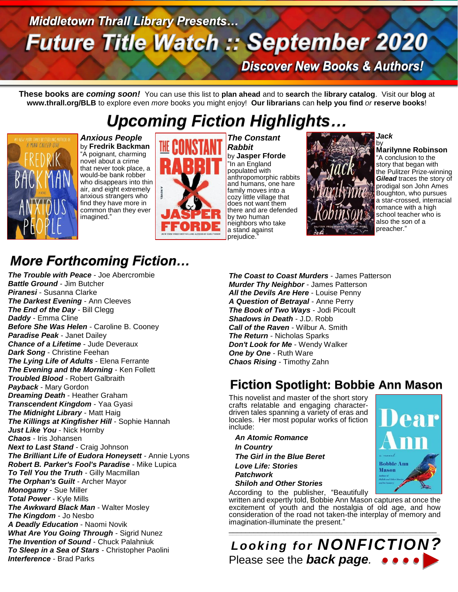# **Middletown Thrall Library Presents... Future Title Watch :: September 2020**

**Discover New Books & Authors!** 

**These books are** *coming soon!* You can use this list to **plan ahead** and to **search** the **library catalog**. Visit our **blog** at **www.thrall.org/BLB** to explore even *more* books you might enjoy! **Our librarians** can **help you find** *or* **reserve books**!

# *Upcoming Fiction Highlights…*



*Anxious People* by **Fredrik Backman** "A poignant, charming novel about a crime that never took place, a would-be bank robber who disappears into thin air, and eight extremely anxious strangers who find they have more in common than they ever imagined."



*The Constant Rabbit* by **Jasper Fforde** "In an England populated with anthropomorphic rabbits and humans, one hare family moves into a cozy little village that does not want them there and are defended by two human neighbors who take a stand against prejudice.



*Jack*

**Marilynne Robinson** "A conclusion to the story that began with the Pulitzer Prize-winning *Gilead* traces the story of prodigal son John Ames Boughton, who pursues a star-crossed, interracial romance with a high school teacher who is also the son of a preacher."

## *More Forthcoming Fiction…*

*The Trouble with Peace* - Joe Abercrombie *Battle Ground* - Jim Butcher *Piranesi* - Susanna Clarke *The Darkest Evening* - Ann Cleeves *The End of the Day* - Bill Clegg *Daddy* - Emma Cline *Before She Was Helen* - Caroline B. Cooney *Paradise Peak* - Janet Dailey *Chance of a Lifetime* - Jude Deveraux *Dark Song* - Christine Feehan *The Lying Life of Adults* - Elena Ferrante *The Evening and the Morning* - Ken Follett *Troubled Blood* - Robert Galbraith *Payback* - Mary Gordon *Dreaming Death* - Heather Graham *Transcendent Kingdom* - Yaa Gyasi *The Midnight Library* - Matt Haig *The Killings at Kingfisher Hill* - Sophie Hannah *Just Like You* - Nick Hornby *Chaos* - Iris Johansen *Next to Last Stand* - Craig Johnson *The Brilliant Life of Eudora Honeysett* - Annie Lyons *Robert B. Parker's Fool's Paradise* - Mike Lupica *To Tell You the Truth* - Gilly Macmillan *The Orphan's Guilt* - Archer Mayor *Monogamy* - Sue Miller *Total Power* - Kyle Mills *The Awkward Black Man* - Walter Mosley *The Kingdom* - Jo Nesbo *A Deadly Education* - Naomi Novik *What Are You Going Through* - Sigrid Nunez *The Invention of Sound* - Chuck Palahniuk *To Sleep in a Sea of Stars* - Christopher Paolini *Interference* - Brad Parks

*The Coast to Coast Murders* - James Patterson *Murder Thy Neighbor* - James Patterson *All the Devils Are Here* - Louise Penny *A Question of Betrayal* - Anne Perry *The Book of Two Ways* - Jodi Picoult *Shadows in Death* - J.D. Robb *Call of the Raven* - Wilbur A. Smith *The Return* - Nicholas Sparks *Don't Look for Me* - Wendy Walker *One by One* - Ruth Ware *Chaos Rising* - Timothy Zahn

## **Fiction Spotlight: Bobbie Ann Mason**

This novelist and master of the short story crafts relatable and engaging characterdriven tales spanning a variety of eras and locales. Her most popular works of fiction include:

 *An Atomic Romance In Country The Girl in the Blue Beret Love Life: Stories Patchwork Shiloh and Other Stories*

According to the publisher, "Beautifully written and expertly told, Bobbie Ann Mason captures at once the excitement of youth and the nostalgia of old age, and how consideration of the road not taken-the interplay of memory and imagination-illuminate the present."

\_\_\_\_\_\_\_\_\_\_\_\_\_\_\_\_\_\_\_\_\_\_\_\_\_\_\_\_\_\_\_\_\_\_\_\_\_\_\_\_\_\_\_\_\_\_\_\_\_\_  $\_$  ,  $\_$  ,  $\_$  ,  $\_$  ,  $\_$  ,  $\_$  ,  $\_$  ,  $\_$  ,  $\_$  ,  $\_$  ,  $\_$  ,  $\_$  ,  $\_$  ,  $\_$  ,  $\_$  ,  $\_$  ,  $\_$  ,  $\_$  ,  $\_$  ,  $\_$  ,  $\_$  ,  $\_$  ,  $\_$  ,  $\_$  ,  $\_$  ,  $\_$  ,  $\_$  ,  $\_$  ,  $\_$  ,  $\_$  ,  $\_$  ,  $\_$  ,  $\_$  ,  $\_$  ,  $\_$  ,  $\_$  ,  $\_$  , *Looking for NONFICTION?* Please see the *back page.*